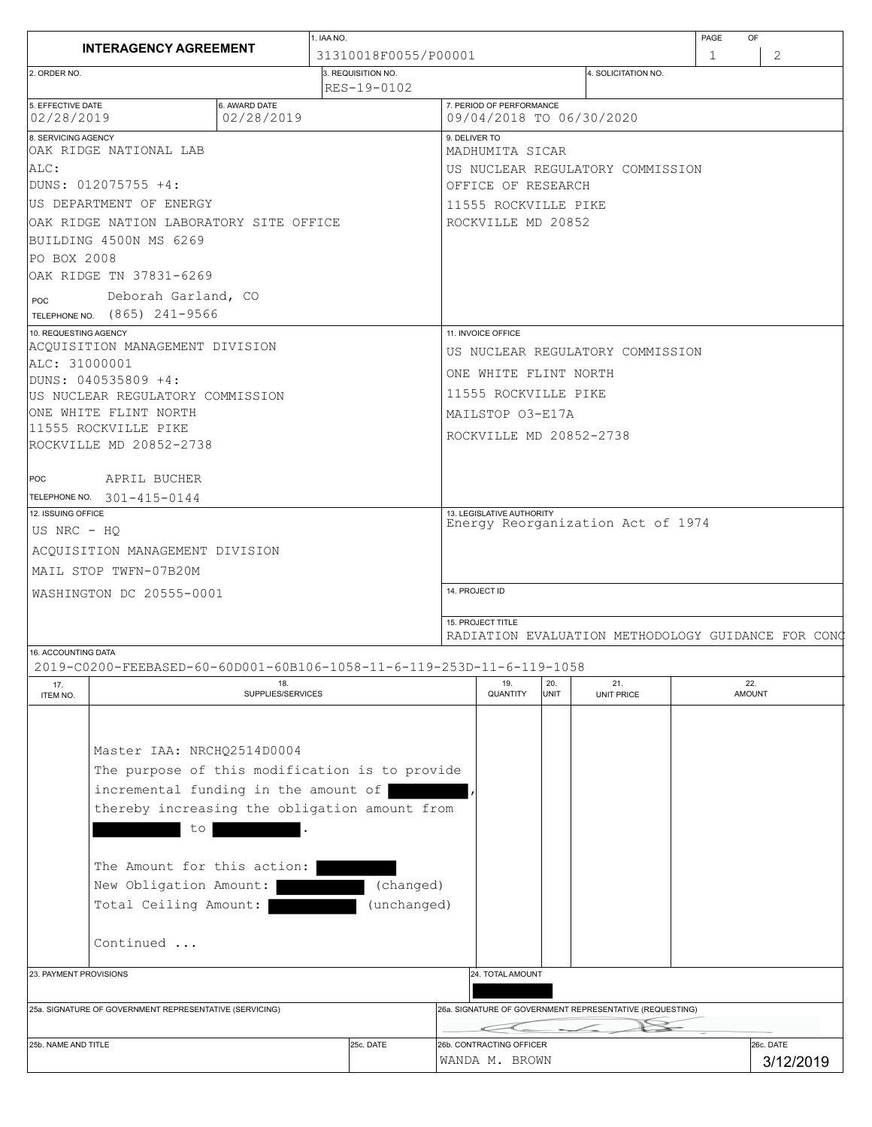|                                                                                                                                                                                                                                                  |                                                                       |                             | 1. IAA NO.                                     |                   |                                   |      |                                                          | PAGE      | OF            |  |  |  |  |
|--------------------------------------------------------------------------------------------------------------------------------------------------------------------------------------------------------------------------------------------------|-----------------------------------------------------------------------|-----------------------------|------------------------------------------------|-------------------|-----------------------------------|------|----------------------------------------------------------|-----------|---------------|--|--|--|--|
| <b>INTERAGENCY AGREEMENT</b><br>31310018F0055/P00001<br>3. REQUISITION NO.<br>2. ORDER NO.                                                                                                                                                       |                                                                       |                             |                                                |                   |                                   |      |                                                          | 1         | 2             |  |  |  |  |
|                                                                                                                                                                                                                                                  |                                                                       |                             |                                                |                   |                                   |      |                                                          |           |               |  |  |  |  |
|                                                                                                                                                                                                                                                  |                                                                       |                             | RES-19-0102                                    |                   |                                   |      |                                                          |           |               |  |  |  |  |
| 5. EFFECTIVE DATE<br>02/28/2019                                                                                                                                                                                                                  |                                                                       | 6. AWARD DATE<br>02/28/2019 |                                                |                   | 7. PERIOD OF PERFORMANCE          |      | 09/04/2018 TO 06/30/2020                                 |           |               |  |  |  |  |
| 8. SERVICING AGENCY                                                                                                                                                                                                                              |                                                                       |                             |                                                |                   | 9. DELIVER TO                     |      |                                                          |           |               |  |  |  |  |
|                                                                                                                                                                                                                                                  | OAK RIDGE NATIONAL LAB                                                |                             |                                                |                   | MADHUMITA SICAR                   |      |                                                          |           |               |  |  |  |  |
| ALC:                                                                                                                                                                                                                                             |                                                                       |                             |                                                |                   |                                   |      | US NUCLEAR REGULATORY COMMISSION                         |           |               |  |  |  |  |
|                                                                                                                                                                                                                                                  | DUNS: 012075755 +4:                                                   |                             |                                                |                   | OFFICE OF RESEARCH                |      |                                                          |           |               |  |  |  |  |
|                                                                                                                                                                                                                                                  | US DEPARTMENT OF ENERGY                                               |                             |                                                |                   | 11555 ROCKVILLE PIKE              |      |                                                          |           |               |  |  |  |  |
|                                                                                                                                                                                                                                                  | OAK RIDGE NATION LABORATORY SITE OFFICE                               |                             |                                                |                   | ROCKVILLE MD 20852                |      |                                                          |           |               |  |  |  |  |
|                                                                                                                                                                                                                                                  | BUILDING 4500N MS 6269                                                |                             |                                                |                   |                                   |      |                                                          |           |               |  |  |  |  |
| PO BOX 2008                                                                                                                                                                                                                                      |                                                                       |                             |                                                |                   |                                   |      |                                                          |           |               |  |  |  |  |
|                                                                                                                                                                                                                                                  | OAK RIDGE TN 37831-6269                                               |                             |                                                |                   |                                   |      |                                                          |           |               |  |  |  |  |
| POC                                                                                                                                                                                                                                              | Deborah Garland, CO                                                   |                             |                                                |                   |                                   |      |                                                          |           |               |  |  |  |  |
|                                                                                                                                                                                                                                                  | TELEPHONE NO. (865) 241-9566                                          |                             |                                                |                   |                                   |      |                                                          |           |               |  |  |  |  |
| 10. REQUESTING AGENCY<br>ACOUISITION MANAGEMENT DIVISION                                                                                                                                                                                         |                                                                       |                             |                                                |                   | 11. INVOICE OFFICE                |      |                                                          |           |               |  |  |  |  |
| ALC: 31000001                                                                                                                                                                                                                                    |                                                                       |                             |                                                |                   |                                   |      | US NUCLEAR REGULATORY COMMISSION                         |           |               |  |  |  |  |
| DUNS: 040535809 +4:                                                                                                                                                                                                                              |                                                                       |                             |                                                |                   | ONE WHITE FLINT NORTH             |      |                                                          |           |               |  |  |  |  |
|                                                                                                                                                                                                                                                  |                                                                       |                             |                                                |                   | 11555 ROCKVILLE PIKE              |      |                                                          |           |               |  |  |  |  |
|                                                                                                                                                                                                                                                  |                                                                       |                             |                                                |                   | MAILSTOP 03-E17A                  |      |                                                          |           |               |  |  |  |  |
| US NUCLEAR REGULATORY COMMISSION<br>ONE WHITE FLINT NORTH<br>11555 ROCKVILLE PIKE<br>ROCKVILLE MD 20852-2738<br>APRIL BUCHER<br><b>POC</b><br>TELEPHONE NO. 301-415-0144<br>12. ISSUING OFFICE<br>US NRC - HQ<br>ACQUISITION MANAGEMENT DIVISION |                                                                       |                             |                                                |                   | ROCKVILLE MD 20852-2738           |      |                                                          |           |               |  |  |  |  |
|                                                                                                                                                                                                                                                  |                                                                       |                             |                                                |                   |                                   |      |                                                          |           |               |  |  |  |  |
|                                                                                                                                                                                                                                                  |                                                                       |                             |                                                |                   |                                   |      |                                                          |           |               |  |  |  |  |
|                                                                                                                                                                                                                                                  |                                                                       |                             |                                                |                   |                                   |      |                                                          |           |               |  |  |  |  |
|                                                                                                                                                                                                                                                  |                                                                       |                             |                                                |                   | 13. LEGISLATIVE AUTHORITY         |      |                                                          |           |               |  |  |  |  |
|                                                                                                                                                                                                                                                  |                                                                       |                             |                                                |                   | Energy Reorganization Act of 1974 |      |                                                          |           |               |  |  |  |  |
|                                                                                                                                                                                                                                                  |                                                                       |                             |                                                |                   |                                   |      |                                                          |           |               |  |  |  |  |
|                                                                                                                                                                                                                                                  |                                                                       |                             |                                                |                   |                                   |      |                                                          |           |               |  |  |  |  |
|                                                                                                                                                                                                                                                  | MAIL STOP TWFN-07B20M                                                 |                             |                                                |                   |                                   |      |                                                          |           |               |  |  |  |  |
|                                                                                                                                                                                                                                                  | WASHINGTON DC 20555-0001                                              |                             |                                                |                   | 14. PROJECT ID                    |      |                                                          |           |               |  |  |  |  |
|                                                                                                                                                                                                                                                  |                                                                       |                             |                                                | 15. PROJECT TITLE |                                   |      |                                                          |           |               |  |  |  |  |
|                                                                                                                                                                                                                                                  |                                                                       |                             |                                                |                   |                                   |      | RADIATION EVALUATION METHODOLOGY GUIDANCE FOR COND       |           |               |  |  |  |  |
| 16. ACCOUNTING DATA                                                                                                                                                                                                                              | 2019-C0200-FEEBASED-60-60D001-60B106-1058-11-6-119-253D-11-6-119-1058 |                             |                                                |                   |                                   |      |                                                          |           |               |  |  |  |  |
| 17.                                                                                                                                                                                                                                              |                                                                       | 18.                         |                                                |                   | 19.                               | 20.  | 21.                                                      |           | 22.           |  |  |  |  |
| ITEM NO.                                                                                                                                                                                                                                         |                                                                       | SUPPLIES/SERVICES           |                                                |                   | QUANTITY                          | UNIT | <b>UNIT PRICE</b>                                        |           | <b>AMOUNT</b> |  |  |  |  |
|                                                                                                                                                                                                                                                  |                                                                       |                             |                                                |                   |                                   |      |                                                          |           |               |  |  |  |  |
|                                                                                                                                                                                                                                                  |                                                                       |                             |                                                |                   |                                   |      |                                                          |           |               |  |  |  |  |
|                                                                                                                                                                                                                                                  | Master IAA: NRCHQ2514D0004                                            |                             |                                                |                   |                                   |      |                                                          |           |               |  |  |  |  |
|                                                                                                                                                                                                                                                  |                                                                       |                             | The purpose of this modification is to provide |                   |                                   |      |                                                          |           |               |  |  |  |  |
|                                                                                                                                                                                                                                                  | incremental funding in the amount of                                  |                             |                                                |                   |                                   |      |                                                          |           |               |  |  |  |  |
|                                                                                                                                                                                                                                                  | thereby increasing the obligation amount from                         |                             |                                                |                   |                                   |      |                                                          |           |               |  |  |  |  |
|                                                                                                                                                                                                                                                  | to                                                                    |                             |                                                |                   |                                   |      |                                                          |           |               |  |  |  |  |
|                                                                                                                                                                                                                                                  |                                                                       |                             |                                                |                   |                                   |      |                                                          |           |               |  |  |  |  |
|                                                                                                                                                                                                                                                  | The Amount for this action:                                           |                             |                                                |                   |                                   |      |                                                          |           |               |  |  |  |  |
|                                                                                                                                                                                                                                                  | New Obligation Amount:<br>(changed)                                   |                             |                                                |                   |                                   |      |                                                          |           |               |  |  |  |  |
|                                                                                                                                                                                                                                                  | Total Ceiling Amount:<br>(unchanged)                                  |                             |                                                |                   |                                   |      |                                                          |           |               |  |  |  |  |
|                                                                                                                                                                                                                                                  |                                                                       |                             |                                                |                   |                                   |      |                                                          |           |               |  |  |  |  |
|                                                                                                                                                                                                                                                  | Continued                                                             |                             |                                                |                   |                                   |      |                                                          |           |               |  |  |  |  |
|                                                                                                                                                                                                                                                  |                                                                       |                             |                                                |                   |                                   |      |                                                          |           |               |  |  |  |  |
| 23. PAYMENT PROVISIONS                                                                                                                                                                                                                           |                                                                       |                             |                                                |                   | 24. TOTAL AMOUNT                  |      |                                                          |           |               |  |  |  |  |
|                                                                                                                                                                                                                                                  |                                                                       |                             |                                                |                   |                                   |      |                                                          |           |               |  |  |  |  |
|                                                                                                                                                                                                                                                  | 25a. SIGNATURE OF GOVERNMENT REPRESENTATIVE (SERVICING)               |                             |                                                |                   |                                   |      | 26a. SIGNATURE OF GOVERNMENT REPRESENTATIVE (REQUESTING) |           |               |  |  |  |  |
|                                                                                                                                                                                                                                                  |                                                                       |                             |                                                |                   |                                   |      |                                                          |           |               |  |  |  |  |
| 25b. NAME AND TITLE<br>25c. DATE                                                                                                                                                                                                                 |                                                                       |                             | 26b. CONTRACTING OFFICER<br>WANDA M. BROWN     |                   |                                   |      |                                                          | 26c. DATE |               |  |  |  |  |
|                                                                                                                                                                                                                                                  |                                                                       |                             |                                                |                   |                                   |      |                                                          |           | 3/12/2019     |  |  |  |  |